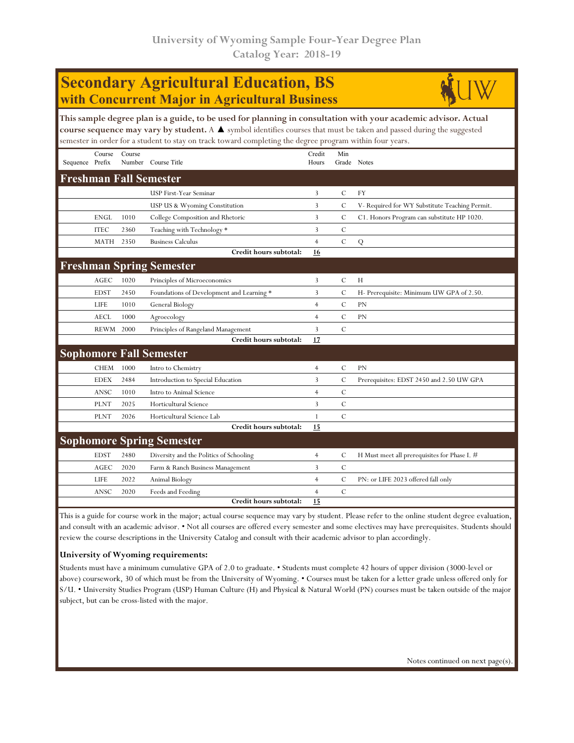| <b>Secondary Agricultural Education, BS</b><br>with Concurrent Major in Agricultural Business |             |        |                                                                                                                                                                                                                                                                                                                                                     |                 |                |                                               |  |  |  |
|-----------------------------------------------------------------------------------------------|-------------|--------|-----------------------------------------------------------------------------------------------------------------------------------------------------------------------------------------------------------------------------------------------------------------------------------------------------------------------------------------------------|-----------------|----------------|-----------------------------------------------|--|--|--|
|                                                                                               |             |        | This sample degree plan is a guide, to be used for planning in consultation with your academic advisor. Actual<br>course sequence may vary by student. A A symbol identifies courses that must be taken and passed during the suggested<br>semester in order for a student to stay on track toward completing the degree program within four years. |                 |                |                                               |  |  |  |
| Sequence Prefix                                                                               | Course      | Course | Number Course Title                                                                                                                                                                                                                                                                                                                                 | Credit<br>Hours | Min            | Grade Notes                                   |  |  |  |
|                                                                                               |             |        | <b>Freshman Fall Semester</b>                                                                                                                                                                                                                                                                                                                       |                 |                |                                               |  |  |  |
|                                                                                               |             |        | <b>USP First-Year Seminar</b>                                                                                                                                                                                                                                                                                                                       | 3               | С              | FY                                            |  |  |  |
|                                                                                               |             |        | USP US & Wyoming Constitution                                                                                                                                                                                                                                                                                                                       | 3               | C              | V- Required for WY Substitute Teaching Permit |  |  |  |
|                                                                                               | <b>ENGL</b> | 1010   | College Composition and Rhetoric                                                                                                                                                                                                                                                                                                                    | 3               | С              | C1. Honors Program can substitute HP 1020.    |  |  |  |
|                                                                                               | <b>ITEC</b> | 2360   | Teaching with Technology *                                                                                                                                                                                                                                                                                                                          | 3               | C              |                                               |  |  |  |
|                                                                                               | MATH        | 2350   | <b>Business Calculus</b>                                                                                                                                                                                                                                                                                                                            | $\overline{4}$  | C              | Q                                             |  |  |  |
|                                                                                               |             |        | Credit hours subtotal:                                                                                                                                                                                                                                                                                                                              | <u>16</u>       |                |                                               |  |  |  |
|                                                                                               |             |        | <b>Freshman Spring Semester</b>                                                                                                                                                                                                                                                                                                                     |                 |                |                                               |  |  |  |
|                                                                                               | AGEC        | 1020   | Principles of Microeconomics                                                                                                                                                                                                                                                                                                                        | 3               | С              | H                                             |  |  |  |
|                                                                                               | <b>EDST</b> | 2450   | Foundations of Development and Learning *                                                                                                                                                                                                                                                                                                           | 3               | $\mathcal{C}$  | H- Prerequisite: Minimum UW GPA of 2.50.      |  |  |  |
|                                                                                               | <b>LIFE</b> | 1010   | General Biology                                                                                                                                                                                                                                                                                                                                     | $\overline{4}$  | $\mathcal{C}$  | <b>PN</b>                                     |  |  |  |
|                                                                                               | AECL        | 1000   | Agroecology                                                                                                                                                                                                                                                                                                                                         | $\overline{4}$  | C              | PN                                            |  |  |  |
|                                                                                               | REWM        | 2000   | Principles of Rangeland Management                                                                                                                                                                                                                                                                                                                  | 3               | $\mathcal{C}$  |                                               |  |  |  |
|                                                                                               |             |        | Credit hours subtotal:                                                                                                                                                                                                                                                                                                                              | 17              |                |                                               |  |  |  |
|                                                                                               |             |        | <b>Sophomore Fall Semester</b>                                                                                                                                                                                                                                                                                                                      |                 |                |                                               |  |  |  |
|                                                                                               | <b>CHEM</b> | 1000   | Intro to Chemistry                                                                                                                                                                                                                                                                                                                                  | $\overline{4}$  | $\mathcal{C}$  | <b>PN</b>                                     |  |  |  |
|                                                                                               | <b>EDEX</b> | 2484   | Introduction to Special Education                                                                                                                                                                                                                                                                                                                   | 3               | $\overline{C}$ | Prerequisites: EDST 2450 and 2.50 UW GPA      |  |  |  |
|                                                                                               | ANSC        | 1010   | Intro to Animal Science                                                                                                                                                                                                                                                                                                                             | $\overline{4}$  | С              |                                               |  |  |  |
|                                                                                               | <b>PLNT</b> | 2025   | Horticultural Science                                                                                                                                                                                                                                                                                                                               | 3               | $\mathcal{C}$  |                                               |  |  |  |
|                                                                                               | <b>PLNT</b> | 2026   | Horticultural Science Lab                                                                                                                                                                                                                                                                                                                           | $\mathbf{1}$    | $\mathcal{C}$  |                                               |  |  |  |
|                                                                                               |             |        | Credit hours subtotal:                                                                                                                                                                                                                                                                                                                              | 15              |                |                                               |  |  |  |
|                                                                                               |             |        | <b>Sophomore Spring Semester</b>                                                                                                                                                                                                                                                                                                                    |                 |                |                                               |  |  |  |
|                                                                                               | <b>EDST</b> | 2480   | Diversity and the Politics of Schooling                                                                                                                                                                                                                                                                                                             | $\overline{4}$  | С              | H Must meet all prerequisites for Phase I. #  |  |  |  |
|                                                                                               | AGEC        | 2020   | Farm & Ranch Business Management                                                                                                                                                                                                                                                                                                                    | 3               | $\cal C$       |                                               |  |  |  |
|                                                                                               | LIFE        | 2022   | Animal Biology                                                                                                                                                                                                                                                                                                                                      | $\overline{4}$  | $\mathcal{C}$  | PN: or LIFE 2023 offered fall only            |  |  |  |
|                                                                                               | ANSC        | 2020   | Feeds and Feeding                                                                                                                                                                                                                                                                                                                                   | 4               | C              |                                               |  |  |  |
|                                                                                               |             |        | Credit hours subtotal:                                                                                                                                                                                                                                                                                                                              | 15              |                |                                               |  |  |  |

This is a guide for course work in the major; actual course sequence may vary by student. Please refer to the online student degree evaluation, and consult with an academic advisor. • Not all courses are offered every semester and some electives may have prerequisites. Students should review the course descriptions in the University Catalog and consult with their academic advisor to plan accordingly.

## **University of Wyoming requirements:**

Students must have a minimum cumulative GPA of 2.0 to graduate. • Students must complete 42 hours of upper division (3000-level or above) coursework, 30 of which must be from the University of Wyoming. • Courses must be taken for a letter grade unless offered only for S/U. • University Studies Program (USP) Human Culture (H) and Physical & Natural World (PN) courses must be taken outside of the major subject, but can be cross-listed with the major.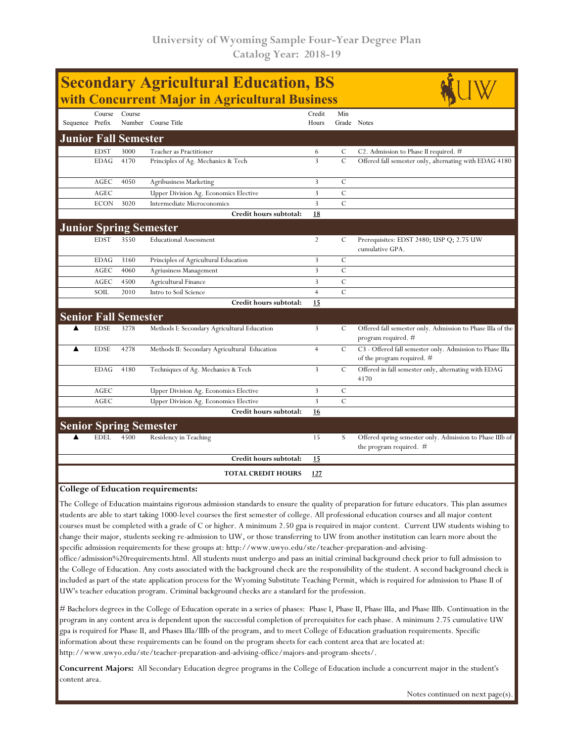| <b>Secondary Agricultural Education, BS</b><br>with Concurrent Major in Agricultural Business |             |                             |                                              |                 |                |                                                                                        |  |  |  |
|-----------------------------------------------------------------------------------------------|-------------|-----------------------------|----------------------------------------------|-----------------|----------------|----------------------------------------------------------------------------------------|--|--|--|
| Sequence Prefix                                                                               | Course      | Course                      | Number Course Title                          | Credit<br>Hours | Min            | Grade Notes                                                                            |  |  |  |
| <b>Junior Fall Semester</b>                                                                   |             |                             |                                              |                 |                |                                                                                        |  |  |  |
|                                                                                               | <b>EDST</b> | 3000                        | Teacher as Practitioner                      | 6               | C              | C <sub>2</sub> . Admission to Phase II required. $#$                                   |  |  |  |
|                                                                                               | <b>EDAG</b> | 4170                        | Principles of Ag. Mechanics & Tech           | $\overline{3}$  | $\mathcal C$   | Offered fall semester only, alternating with EDAG 4180                                 |  |  |  |
|                                                                                               | AGEC        | 4050                        | <b>Agribusiness Marketing</b>                | 3               | C              |                                                                                        |  |  |  |
|                                                                                               | AGEC        |                             | Upper Division Ag. Economics Elective        | 3               | $\mathcal{C}$  |                                                                                        |  |  |  |
|                                                                                               | <b>ECON</b> | 3020                        | Intermediate Microconomics                   | 3               | $\mathbf C$    |                                                                                        |  |  |  |
|                                                                                               |             |                             | Credit hours subtotal:                       | 18              |                |                                                                                        |  |  |  |
|                                                                                               |             |                             | <b>Junior Spring Semester</b>                |                 |                |                                                                                        |  |  |  |
|                                                                                               | <b>EDST</b> | 3550                        | <b>Educational Assessment</b>                | $\overline{2}$  | C              | Prerequisites: EDST 2480; USP Q; 2.75 UW<br>cumulative GPA.                            |  |  |  |
|                                                                                               | <b>EDAG</b> | 3160                        | Principles of Agricultural Education         | 3               | $\mathcal{C}$  |                                                                                        |  |  |  |
|                                                                                               | AGEC        | 4060                        | Agriusiness Management                       | 3               | $\mathcal{C}$  |                                                                                        |  |  |  |
|                                                                                               | AGEC        | 4500                        | Agricultural Finance                         | 3               | $\mathcal C$   |                                                                                        |  |  |  |
|                                                                                               | SOIL        | 2010                        | Intro to Soil Science                        | $\overline{4}$  | $\overline{C}$ |                                                                                        |  |  |  |
|                                                                                               |             |                             | Credit hours subtotal:                       | 15              |                |                                                                                        |  |  |  |
|                                                                                               |             | <b>Senior Fall Semester</b> |                                              |                 |                |                                                                                        |  |  |  |
|                                                                                               | <b>EDSE</b> | 3278                        | Methods I: Secondary Agricultural Education  | 3               | C              | Offered fall semester only. Admission to Phase IIIa of the<br>program required. #      |  |  |  |
| ▲                                                                                             | <b>EDSE</b> | 4278                        | Methods II: Secondary Agricultural Education | $\overline{4}$  | C              | C3 - Offered fall semester only. Admission to Phase IIIa<br>of the program required. # |  |  |  |
|                                                                                               | <b>EDAG</b> | 4180                        | Techniques of Ag. Mechanics & Tech           | 3               | $\mathcal{C}$  | Offered in fall semester only, alternating with EDAG<br>4170                           |  |  |  |
|                                                                                               | AGEC        |                             | Upper Division Ag. Economics Elective        | 3               | C              |                                                                                        |  |  |  |
|                                                                                               | <b>AGEC</b> |                             | <b>Upper Division Ag. Economics Elective</b> | 3               | $\overline{C}$ |                                                                                        |  |  |  |
|                                                                                               |             |                             | Credit hours subtotal:                       | 16              |                |                                                                                        |  |  |  |
|                                                                                               |             |                             | <b>Senior Spring Semester</b>                |                 |                |                                                                                        |  |  |  |
|                                                                                               | <b>EDEL</b> | 4500                        | Residency in Teaching                        | 15              | S              | Offered spring semester only. Admission to Phase IIIb of<br>the program required. #    |  |  |  |
|                                                                                               |             |                             | Credit hours subtotal:                       | <u>15</u>       |                |                                                                                        |  |  |  |
|                                                                                               |             |                             | <b>TOTAL CREDIT HOURS</b>                    | 127             |                |                                                                                        |  |  |  |
| <b>College of Education requirements:</b>                                                     |             |                             |                                              |                 |                |                                                                                        |  |  |  |

The College of Education maintains rigorous admission standards to ensure the quality of preparation for future educators. This plan assumes students are able to start taking 1000-level courses the first semester of college. All professional education courses and all major content courses must be completed with a grade of C or higher. A minimum 2.50 gpa is required in major content. Current UW students wishing to change their major, students seeking re-admission to UW, or those transferring to UW from another institution can learn more about the specific admission requirements for these groups at: http://www.uwyo.edu/ste/teacher-preparation-and-advising-

office/admission%20requirements.html. All students must undergo and pass an initial criminal background check prior to full admission to the College of Education. Any costs associated with the background check are the responsibility of the student. A second background check is included as part of the state application process for the Wyoming Substitute Teaching Permit, which is required for admission to Phase II of UW's teacher education program. Criminal background checks are a standard for the profession.

# Bachelors degrees in the College of Education operate in a series of phases: Phase I, Phase II, Phase IIIa, and Phase IIIb. Continuation in the program in any content area is dependent upon the successful completion of prerequisites for each phase. A minimum 2.75 cumulative UW gpa is required for Phase II, and Phases IIIa/IIIb of the program, and to meet College of Education graduation requirements. Specific information about these requirements can be found on the program sheets for each content area that are located at: http://www.uwyo.edu/ste/teacher-preparation-and-advising-office/majors-and-program-sheets/.

**Concurrent Majors:** All Secondary Education degree programs in the College of Education include a concurrent major in the student's content area.